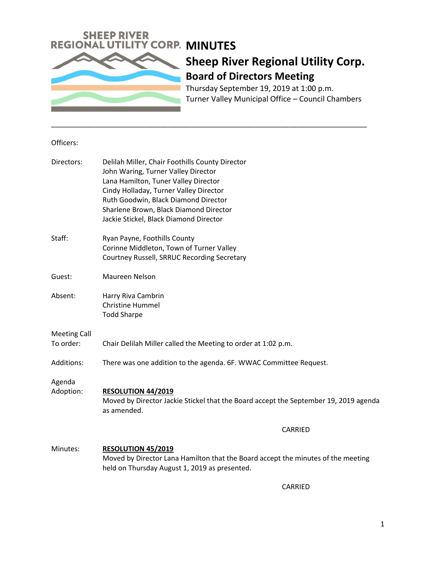

Thursday September 19, 2019 at 1:00 p.m. Turner Valley Municipal Office – Council Chambers

#### Officers:

| Directors:          | Delilah Miller, Chair Foothills County Director<br>John Waring, Turner Valley Director<br>Lana Hamilton, Tuner Valley Director<br>Cindy Holladay, Turner Valley Director<br>Ruth Goodwin, Black Diamond Director |
|---------------------|------------------------------------------------------------------------------------------------------------------------------------------------------------------------------------------------------------------|
|                     | Sharlene Brown, Black Diamond Director                                                                                                                                                                           |
|                     | Jackie Stickel, Black Diamond Director                                                                                                                                                                           |
| Staff:              | Ryan Payne, Foothills County<br>Corinne Middleton, Town of Turner Valley<br>Courtney Russell, SRRUC Recording Secretary                                                                                          |
| Guest:              | Maureen Nelson                                                                                                                                                                                                   |
| Absent:             | Harry Riva Cambrin<br><b>Christine Hummel</b><br><b>Todd Sharpe</b>                                                                                                                                              |
| <b>Meeting Call</b> |                                                                                                                                                                                                                  |
| To order:           | Chair Delilah Miller called the Meeting to order at 1:02 p.m.                                                                                                                                                    |
| Additions:          | There was one addition to the agenda. 6F. WWAC Committee Request.                                                                                                                                                |
| Agenda<br>Adoption: | <b>RESOLUTION 44/2019</b><br>Moved by Director Jackie Stickel that the Board accept the September 19, 2019 agenda<br>as amended.                                                                                 |
|                     | CARRIED                                                                                                                                                                                                          |
| Minutes:            | <b>RESOLUTION 45/2019</b><br>Moved by Director Lana Hamilton that the Board accept the minutes of the meeting<br>held on Thursday August 1, 2019 as presented.                                                   |

\_\_\_\_\_\_\_\_\_\_\_\_\_\_\_\_\_\_\_\_\_\_\_\_\_\_\_\_\_\_\_\_\_\_\_\_\_\_\_\_\_\_\_\_\_\_\_\_\_\_\_\_\_\_\_\_\_\_\_\_\_\_\_\_\_\_\_\_\_\_\_\_\_\_\_\_\_\_\_\_\_

CARRIED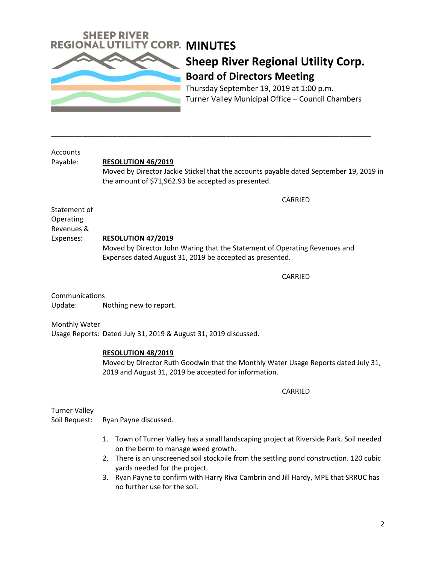

Thursday September 19, 2019 at 1:00 p.m. Turner Valley Municipal Office – Council Chambers

**Accounts** 

### Payable: **RESOLUTION 46/2019**

Moved by Director Jackie Stickel that the accounts payable dated September 19, 2019 in the amount of \$71,962.93 be accepted as presented.

CARRIED

Statement of Operating Revenues &

## Expenses: **RESOLUTION 47/2019**

Moved by Director John Waring that the Statement of Operating Revenues and Expenses dated August 31, 2019 be accepted as presented.

\_\_\_\_\_\_\_\_\_\_\_\_\_\_\_\_\_\_\_\_\_\_\_\_\_\_\_\_\_\_\_\_\_\_\_\_\_\_\_\_\_\_\_\_\_\_\_\_\_\_\_\_\_\_\_\_\_\_\_\_\_\_\_\_\_\_\_\_\_\_\_\_\_\_\_\_\_\_\_\_\_\_

CARRIED

**Communications** Update: Nothing new to report.

Monthly Water

Usage Reports: Dated July 31, 2019 & August 31, 2019 discussed.

### **RESOLUTION 48/2019**

Moved by Director Ruth Goodwin that the Monthly Water Usage Reports dated July 31, 2019 and August 31, 2019 be accepted for information.

CARRIED

Turner Valley

- Soil Request: Ryan Payne discussed.
	- 1. Town of Turner Valley has a small landscaping project at Riverside Park. Soil needed on the berm to manage weed growth.
	- 2. There is an unscreened soil stockpile from the settling pond construction. 120 cubic yards needed for the project.
	- 3. Ryan Payne to confirm with Harry Riva Cambrin and Jill Hardy, MPE that SRRUC has no further use for the soil.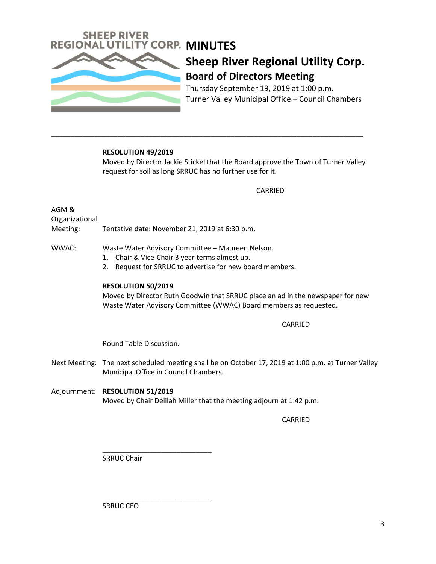

Thursday September 19, 2019 at 1:00 p.m. Turner Valley Municipal Office – Council Chambers

### **RESOLUTION 49/2019**

Moved by Director Jackie Stickel that the Board approve the Town of Turner Valley request for soil as long SRRUC has no further use for it.

CARRIED

AGM & Organizational

Meeting: Tentative date: November 21, 2019 at 6:30 p.m.

WWAC: Waste Water Advisory Committee – Maureen Nelson.

- 1. Chair & Vice-Chair 3 year terms almost up.
- 2. Request for SRRUC to advertise for new board members.

\_\_\_\_\_\_\_\_\_\_\_\_\_\_\_\_\_\_\_\_\_\_\_\_\_\_\_\_\_\_\_\_\_\_\_\_\_\_\_\_\_\_\_\_\_\_\_\_\_\_\_\_\_\_\_\_\_\_\_\_\_\_\_\_\_\_\_\_\_\_\_\_\_\_\_\_\_\_\_\_

#### **RESOLUTION 50/2019**

Moved by Director Ruth Goodwin that SRRUC place an ad in the newspaper for new Waste Water Advisory Committee (WWAC) Board members as requested.

#### CARRIED

Round Table Discussion.

- Next Meeting: The next scheduled meeting shall be on October 17, 2019 at 1:00 p.m. at Turner Valley Municipal Office in Council Chambers.
- Adjournment: **RESOLUTION 51/2019** Moved by Chair Delilah Miller that the meeting adjourn at 1:42 p.m.

CARRIED

\_\_\_\_\_\_\_\_\_\_\_\_\_\_\_\_\_\_\_\_\_\_\_\_\_\_\_\_ SRRUC Chair

SRRUC CEO

\_\_\_\_\_\_\_\_\_\_\_\_\_\_\_\_\_\_\_\_\_\_\_\_\_\_\_\_